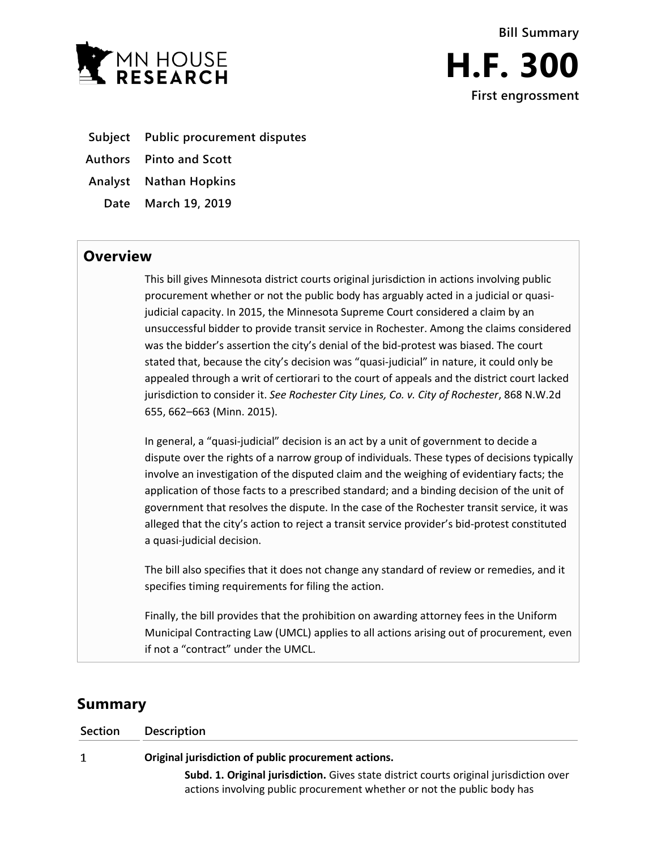

**Subject Public procurement disputes**

**Authors Pinto and Scott**

**Analyst Nathan Hopkins**

**Date March 19, 2019**

## **Overview**

This bill gives Minnesota district courts original jurisdiction in actions involving public procurement whether or not the public body has arguably acted in a judicial or quasijudicial capacity. In 2015, the Minnesota Supreme Court considered a claim by an unsuccessful bidder to provide transit service in Rochester. Among the claims considered was the bidder's assertion the city's denial of the bid-protest was biased. The court stated that, because the city's decision was "quasi-judicial" in nature, it could only be appealed through a writ of certiorari to the court of appeals and the district court lacked jurisdiction to consider it. *See Rochester City Lines, Co. v. City of Rochester*, 868 N.W.2d 655, 662–663 (Minn. 2015).

In general, a "quasi-judicial" decision is an act by a unit of government to decide a dispute over the rights of a narrow group of individuals. These types of decisions typically involve an investigation of the disputed claim and the weighing of evidentiary facts; the application of those facts to a prescribed standard; and a binding decision of the unit of government that resolves the dispute. In the case of the Rochester transit service, it was alleged that the city's action to reject a transit service provider's bid-protest constituted a quasi-judicial decision.

The bill also specifies that it does not change any standard of review or remedies, and it specifies timing requirements for filing the action.

Finally, the bill provides that the prohibition on awarding attorney fees in the Uniform Municipal Contracting Law (UMCL) applies to all actions arising out of procurement, even if not a "contract" under the UMCL.

# **Summary**

| <b>Section</b> | <b>Description</b>                                                                                                                                                |
|----------------|-------------------------------------------------------------------------------------------------------------------------------------------------------------------|
|                | Original jurisdiction of public procurement actions.                                                                                                              |
|                | Subd. 1. Original jurisdiction. Gives state district courts original jurisdiction over<br>actions involving public procurement whether or not the public body has |